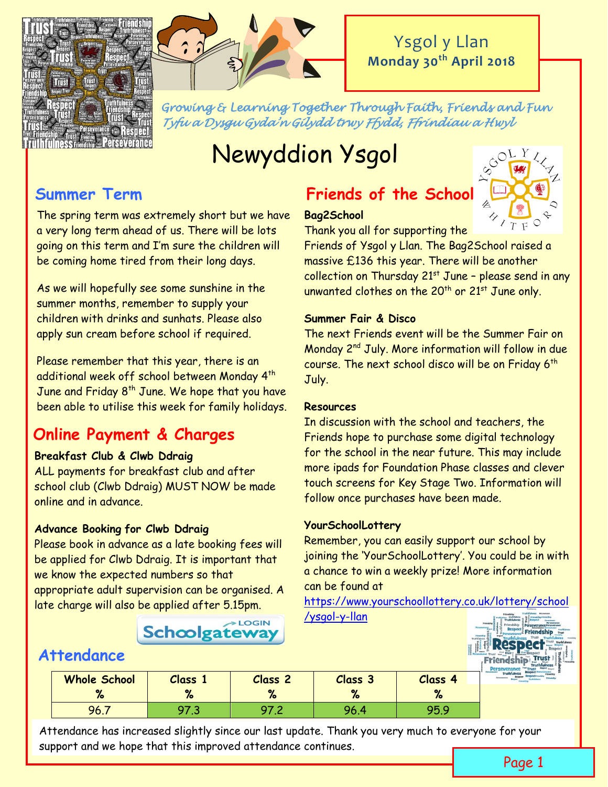



*Growing & Learning Together Through Faith, Friends and Fun Tyfu a Dysgu Gyda'n Gilydd trwy Ffydd, Ffrindiau a Hwyl* 

# Newyddion Ysgol

The spring term was extremely short but we have a very long term ahead of us. There will be lots going on this term and I'm sure the children will be coming home tired from their long days.

As we will hopefully see some sunshine in the summer months, remember to supply your children with drinks and sunhats. Please also apply sun cream before school if required.

Please remember that this year, there is an additional week off school between Monday 4th June and Friday  $8<sup>th</sup>$  June. We hope that you have been able to utilise this week for family holidays.

# **Online Payment & Charges**

## **Breakfast Club & Clwb Ddraig**

ALL payments for breakfast club and after school club (Clwb Ddraig) MUST NOW be made online and in advance.

## **Advance Booking for Clwb Ddraig**

Please book in advance as a late booking fees will be applied for Clwb Ddraig. It is important that we know the expected numbers so that appropriate adult supervision can be organised. A late charge will also be applied after 5.15pm.

# **Summer Term Friends of the School**

#### **Bag2School**



Thank you all for supporting the

Friends of Ysgol y Llan. The Bag2School raised a massive £136 this year. There will be another collection on Thursday  $21^{st}$  June - please send in any unwanted clothes on the  $20^{th}$  or  $21^{st}$  June only.

#### **Summer Fair & Disco**

The next Friends event will be the Summer Fair on Monday 2nd July. More information will follow in due course. The next school disco will be on Friday  $6<sup>th</sup>$ July.

#### **Resources**

In discussion with the school and teachers, the Friends hope to purchase some digital technology for the school in the near future. This may include more ipads for Foundation Phase classes and clever touch screens for Key Stage Two. Information will follow once purchases have been made.

#### **YourSchoolLottery**

Remember, you can easily support our school by joining the 'YourSchoolLottery'. You could be in with a chance to win a weekly prize! More information can be found at

[https://www.yourschoollottery.co.uk/lottery/school](https://www.yourschoollottery.co.uk/lottery/school/ysgol-y-llan) [/ysgol-y-llan](https://www.yourschoollottery.co.uk/lottery/school/ysgol-y-llan)

# **Schoolgateway**



# **Attendance You can download an app or access it via the website via the website via the website via the website via the website via the website via the website via the website via the website via the website via the web**

|                     |         |                |          |         | <b>THE REPORT OF SALES</b> |
|---------------------|---------|----------------|----------|---------|----------------------------|
| <b>Whole School</b> | Class 1 | <b>Class 2</b> | Class 3  | Class 4 | Truthfulness               |
|                     |         | 70             | $\alpha$ |         |                            |
| 96.1                |         |                | 96.4     | 95.9    |                            |

Attendance has increased slightly since our last update. Thank you very much to everyone for your support and we hope that this improved attendance continues.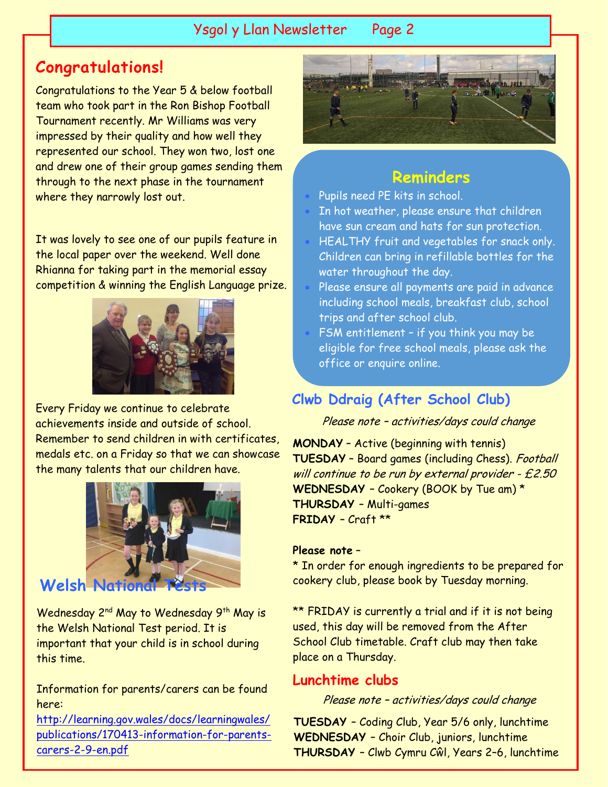# Ysgol y Llan Newsletter Page 2

# **Congratulations!**

Congratulations to the Year 5 & below football team who took part in the Ron Bishop Football Tournament recently. Mr Williams was very impressed by their quality and how well they represented our school. They won two, lost one and drew one of their group games sending them through to the next phase in the tournament where they narrowly lost out.

It was lovely to see one of our pupils feature in the local paper over the weekend. Well done Rhianna for taking part in the memorial essay competition & winning the English Language prize.



Every Friday we continue to celebrate achievements inside and outside of school. Remember to send children in with certificates medals etc. on a Friday so that we can showcase the many talents that our children have.



# **Welsh Nation**

Wednesday 2<sup>nd</sup> May to Wednesday 9<sup>th</sup> May is the Welsh National Test period. It is important that your child is in school during this time.

Information for parents/carers can be found here:

[http://learning.gov.wales/docs/learningwales/](http://learning.gov.wales/docs/learningwales/publications/170413-information-for-parents-carers-2-9-en.pdf) [publications/170413-information-for-parents](http://learning.gov.wales/docs/learningwales/publications/170413-information-for-parents-carers-2-9-en.pdf)[carers-2-9-en.pdf](http://learning.gov.wales/docs/learningwales/publications/170413-information-for-parents-carers-2-9-en.pdf)



# **Reminders**

- Pupils need PE kits in school.
- In hot weather, please ensure that children
- have sun cream and hats for sun protection.
- HEALTHY fruit and vegetables for snack only. Children can bring in refillable bottles for the water throughout the day.
- Please ensure all payments are paid in advance including school meals, breakfast club, school trips and after school club.
- FSM entitlement if you think you may be eligible for free school meals, please ask the office or enquire online.

[http://www.flintshire.gov.uk/en/Resident/Sch](http://www.flintshire.gov.uk/en/Resident/Schools/Education-Benefits.aspx)

# Clwb Ddraig (After School Club)

Please note – activities/days could change

**MONDAY** – Active (beginning with tennis) **TUESDAY** – Board games (including Chess). Football will continue to be run by external provider - £2.50 **WEDNESDAY** – Cookery (BOOK by Tue am) \* **THURSDAY** – Multi-games **FRIDAY** – Craft \*\*

#### **Please note** –

\* In order for enough ingredients to be prepared for cookery club, please book by Tuesday morning.

\*\* FRIDAY is currently a trial and if it is not being used, this day will be removed from the After School Club timetable. Craft club may then take place on a Thursday.

#### **Lunchtime clubs**

Please note – activities/days could change

**TUESDAY** – Coding Club, Year 5/6 only, lunchtime **WEDNESDAY** – Choir Club, juniors, lunchtime **THURSDAY** – Clwb Cymru Cŵl, Years 2–6, lunchtime